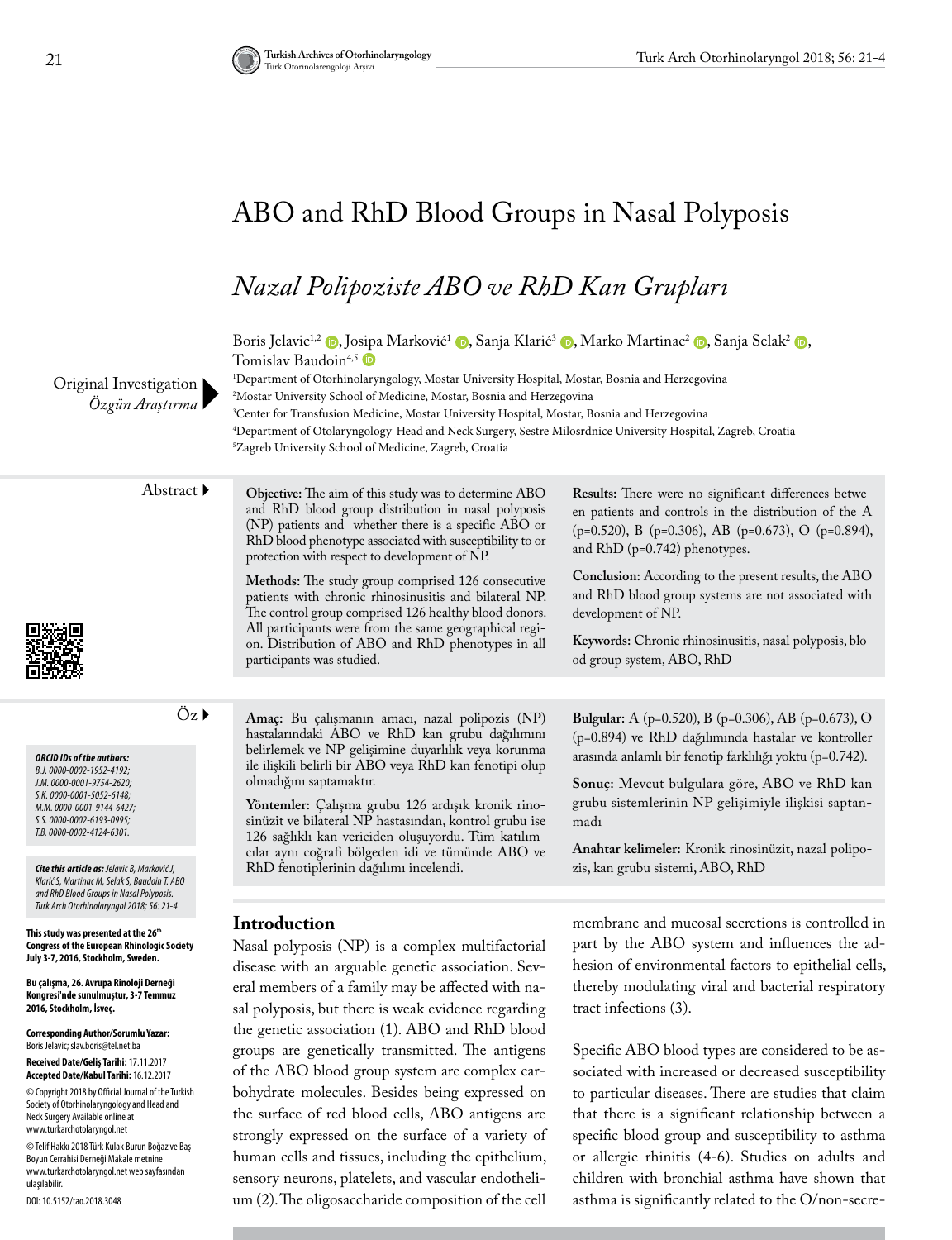# ABO and RhD Blood Groups in Nasal Polyposis

# *Nazal Polipoziste ABO ve RhD Kan Grupları*

Boris Jelavic<sup>1[,](https://orcid.org/0000-0001-5052-6148)2</sup> (**D**[,](https://orcid.org/0000-0002-6193-0995) Jo[sipa](https://orcid.org/0000-0002-4124-6301) Marković<sup>1</sup> (**D**, Sanja Klarić<sup>3</sup> (**D**, Marko Martinac<sup>2</sup> (**D**, Sanja Selak<sup>2</sup> (**D**, Tomislav Baudoin<sup>4,5</sup>

1 Department of Otorhinolaryngology, Mostar University Hospital, Mostar, Bosnia and Herzegovina 2 Mostar University School of Medicine, Mostar, Bosnia and Herzegovina 3 Center for Transfusion Medicine, Mostar University Hospital, Mostar, Bosnia and Herzegovina

4 Department of Otolaryngology-Head and Neck Surgery, Sestre Milosrdnice University Hospital, Zagreb, Croatia 5 Zagreb University School of Medicine, Zagreb, Croatia

Abstract **Objective:** The aim of this study was to determine ABO and RhD blood group distribution in nasal polyposis (NP) patients and whether there is a specific ABO or RhD blood phenotype associated with susceptibility to or protection with respect to development of NP.

> **Methods:** The study group comprised 126 consecutive patients with chronic rhinosinusitis and bilateral NP. The control group comprised 126 healthy blood donors. All participants were from the same geographical region. Distribution of ABO and RhD phenotypes in all participants was studied.

Öz **Amaç:** Bu çalışmanın amacı, nazal polipozis (NP) hastalarındaki ABO ve RhD kan grubu dağılımını belirlemek ve NP gelişimine duyarlılık veya korunma ile ilişkili belirli bir ABO veya RhD kan fenotipi olup olmadığını saptamaktır.

**Yöntemler:** Çalışma grubu 126 ardışık kronik rinosinüzit ve bilateral NP hastasından, kontrol grubu ise 126 sağlıklı kan vericiden oluşuyordu. Tüm katılımcılar aynı coğrafi bölgeden idi ve tümünde ABO ve RhD fenotiplerinin dağılımı incelendi. *Cite this article as: Jelavic B, Marković J,* zis, kan grubu sistemi, ABO, RhD

**Bulgular:** A (p=0.520), B (p=0.306), AB (p=0.673), O (p=0.894) ve RhD dağılımında hastalar ve kontroller arasında anlamlı bir fenotip farklılığı yoktu (p=0.742).

**Results:** There were no significant differences between patients and controls in the distribution of the A (p=0.520), B (p=0.306), AB (p=0.673), O (p=0.894),

**Conclusion:** According to the present results, the ABO and RhD blood group systems are not associated with

**Keywords:** Chronic rhinosinusitis, nasal polyposis, blo-

and RhD (p=0.742) phenotypes.

od group system, ABO, RhD

development of NP.

**Sonuç:** Mevcut bulgulara göre, ABO ve RhD kan grubu sistemlerinin NP gelişimiyle ilişkisi saptanmadı

**Anahtar kelimeler:** Kronik rinosinüzit, nazal polipo-

#### **This study was presented at the 26th Congress of the European Rhinologic Society**

Original Investigation *Özgün Araştırma*

**July 3-7, 2016, Stockholm, Sweden. Bu çalışma, 26. Avrupa Rinoloji Derneği Kongresi'nde sunulmuştur, 3-7 Temmuz** 

*Klarić S, Martinac M, Selak S, Baudoin T. ABO and RhD Blood Groups in Nasal Polyposis. Turk Arch Otorhinolaryngol 2018; 56: 21-4*

*ORCID IDs of the authors: B.J. 0000-0002-1952-4192; J.M. 0000-0001-9754-2620; S.K. 0000-0001-5052-6148; M.M. 0000-0001-9144-6427; S.S. 0000-0002-6193-0995; T.B. 0000-0002-4124-6301.*

**2016, Stockholm, İsveç. Corresponding Author/Sorumlu Yazar:** 

Boris Jelavic; slav.boris@tel.net.ba **Received Date/Geliş Tarihi:** 17.11.2017

**Accepted Date/Kabul Tarihi:** 16.12.2017 © Copyright 2018 by Official Journal of the Turkish

Society of Otorhinolaryngology and Head and Neck Surgery Available online at www.turkarchotolaryngol.net

© Telif Hakkı 2018 Türk Kulak Burun Boğaz ve Baş Boyun Cerrahisi Derneği Makale metnine www.turkarchotolaryngol.net web sayfasından ulaşılabilir.

DOI: 10.5152/tao.2018.3048

#### **Introduction**

Nasal polyposis (NP) is a complex multifactorial disease with an arguable genetic association. Several members of a family may be affected with nasal polyposis, but there is weak evidence regarding the genetic association (1). ABO and RhD blood groups are genetically transmitted. The antigens of the ABO blood group system are complex carbohydrate molecules. Besides being expressed on the surface of red blood cells, ABO antigens are strongly expressed on the surface of a variety of human cells and tissues, including the epithelium, sensory neurons, platelets, and vascular endothelium (2). The oligosaccharide composition of the cell membrane and mucosal secretions is controlled in part by the ABO system and influences the adhesion of environmental factors to epithelial cells, thereby modulating viral and bacterial respiratory tract infections (3).

Specific ABO blood types are considered to be associated with increased or decreased susceptibility to particular diseases. There are studies that claim that there is a significant relationship between a specific blood group and susceptibility to asthma or allergic rhinitis (4-6). Studies on adults and children with bronchial asthma have shown that asthma is significantly related to the O/non-secre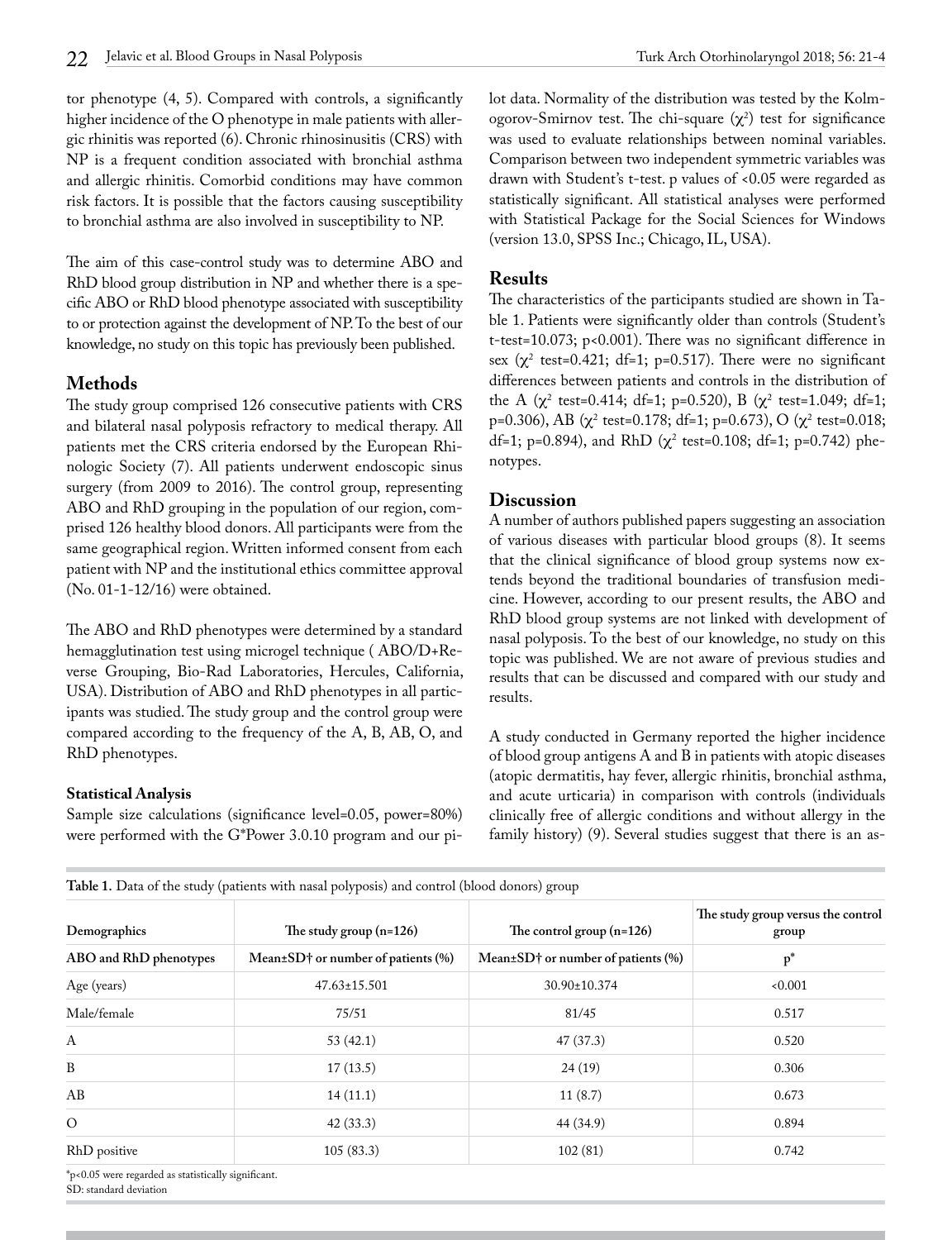tor phenotype (4, 5). Compared with controls, a significantly higher incidence of the O phenotype in male patients with allergic rhinitis was reported (6). Chronic rhinosinusitis (CRS) with NP is a frequent condition associated with bronchial asthma and allergic rhinitis. Comorbid conditions may have common risk factors. It is possible that the factors causing susceptibility to bronchial asthma are also involved in susceptibility to NP.

The aim of this case-control study was to determine ABO and RhD blood group distribution in NP and whether there is a specific ABO or RhD blood phenotype associated with susceptibility to or protection against the development of NP. To the best of our knowledge, no study on this topic has previously been published.

## **Methods**

The study group comprised 126 consecutive patients with CRS and bilateral nasal polyposis refractory to medical therapy. All patients met the CRS criteria endorsed by the European Rhinologic Society (7). All patients underwent endoscopic sinus surgery (from 2009 to 2016). The control group, representing ABO and RhD grouping in the population of our region, comprised 126 healthy blood donors. All participants were from the same geographical region. Written informed consent from each patient with NP and the institutional ethics committee approval (No. 01-1-12/16) were obtained.

The ABO and RhD phenotypes were determined by a standard hemagglutination test using microgel technique ( ABO/D+Reverse Grouping, Bio-Rad Laboratories, Hercules, California, USA). Distribution of ABO and RhD phenotypes in all participants was studied. The study group and the control group were compared according to the frequency of the A, B, AB, O, and RhD phenotypes.

### **Statistical Analysis**

Sample size calculations (significance level=0.05, power=80%) were performed with the G\*Power 3.0.10 program and our pilot data. Normality of the distribution was tested by the Kolmogorov-Smirnov test. The chi-square  $(\chi^2)$  test for significance was used to evaluate relationships between nominal variables. Comparison between two independent symmetric variables was drawn with Student's t-test. p values of <0.05 were regarded as statistically significant. All statistical analyses were performed with Statistical Package for the Social Sciences for Windows (version 13.0, SPSS Inc.; Chicago, IL, USA).

## **Results**

The characteristics of the participants studied are shown in Table 1. Patients were significantly older than controls (Student's t-test=10.073; p<0.001). There was no significant difference in sex ( $\chi^2$  test=0.421; df=1; p=0.517). There were no significant differences between patients and controls in the distribution of the A  $(\chi^2 \text{ test} = 0.414; \text{ df} = 1; \text{ p} = 0.520), \text{ B } (\chi^2 \text{ test} = 1.049; \text{ df} = 1;$ p=0.306), AB ( $\chi^2$  test=0.178; df=1; p=0.673), O ( $\chi^2$  test=0.018; df=1; p=0.894), and RhD ( $\chi^2$  test=0.108; df=1; p=0.742) phenotypes.

### **Discussion**

A number of authors published papers suggesting an association of various diseases with particular blood groups (8). It seems that the clinical significance of blood group systems now extends beyond the traditional boundaries of transfusion medicine. However, according to our present results, the ABO and RhD blood group systems are not linked with development of nasal polyposis. To the best of our knowledge, no study on this topic was published. We are not aware of previous studies and results that can be discussed and compared with our study and results.

A study conducted in Germany reported the higher incidence of blood group antigens A and B in patients with atopic diseases (atopic dermatitis, hay fever, allergic rhinitis, bronchial asthma, and acute urticaria) in comparison with controls (individuals clinically free of allergic conditions and without allergy in the family history) (9). Several studies suggest that there is an as-

| Demographics                                                 | The study group $(n=126)$                | The control group $(n=126)$        | The study group versus the control<br>group |
|--------------------------------------------------------------|------------------------------------------|------------------------------------|---------------------------------------------|
| ABO and RhD phenotypes                                       | Mean $\pm$ SD† or number of patients (%) | Mean±SD† or number of patients (%) | $p^*$                                       |
| Age (years)                                                  | $47.63 \pm 15.501$                       | $30.90 \pm 10.374$                 | 0.001                                       |
| Male/female                                                  | 75/51                                    | 81/45                              | 0.517                                       |
| A                                                            | 53(42.1)                                 | 47(37.3)                           | 0.520                                       |
| $\, {\bf B}$                                                 | 17(13.5)                                 | 24(19)                             | 0.306                                       |
| AB                                                           | 14(11.1)                                 | 11(8.7)                            | 0.673                                       |
| $\circ$                                                      | 42(33.3)                                 | 44 (34.9)                          | 0.894                                       |
| RhD positive                                                 | 105(83.3)                                | 102(81)                            | 0.742                                       |
| $*_{\alpha}$ 0.05 were received as statistically significant |                                          |                                    |                                             |

**Table 1.** Data of the study (patients with nasal polyposis) and control (blood donors) group

\*p<0.05 were regarded as statistically significant. SD: standard deviation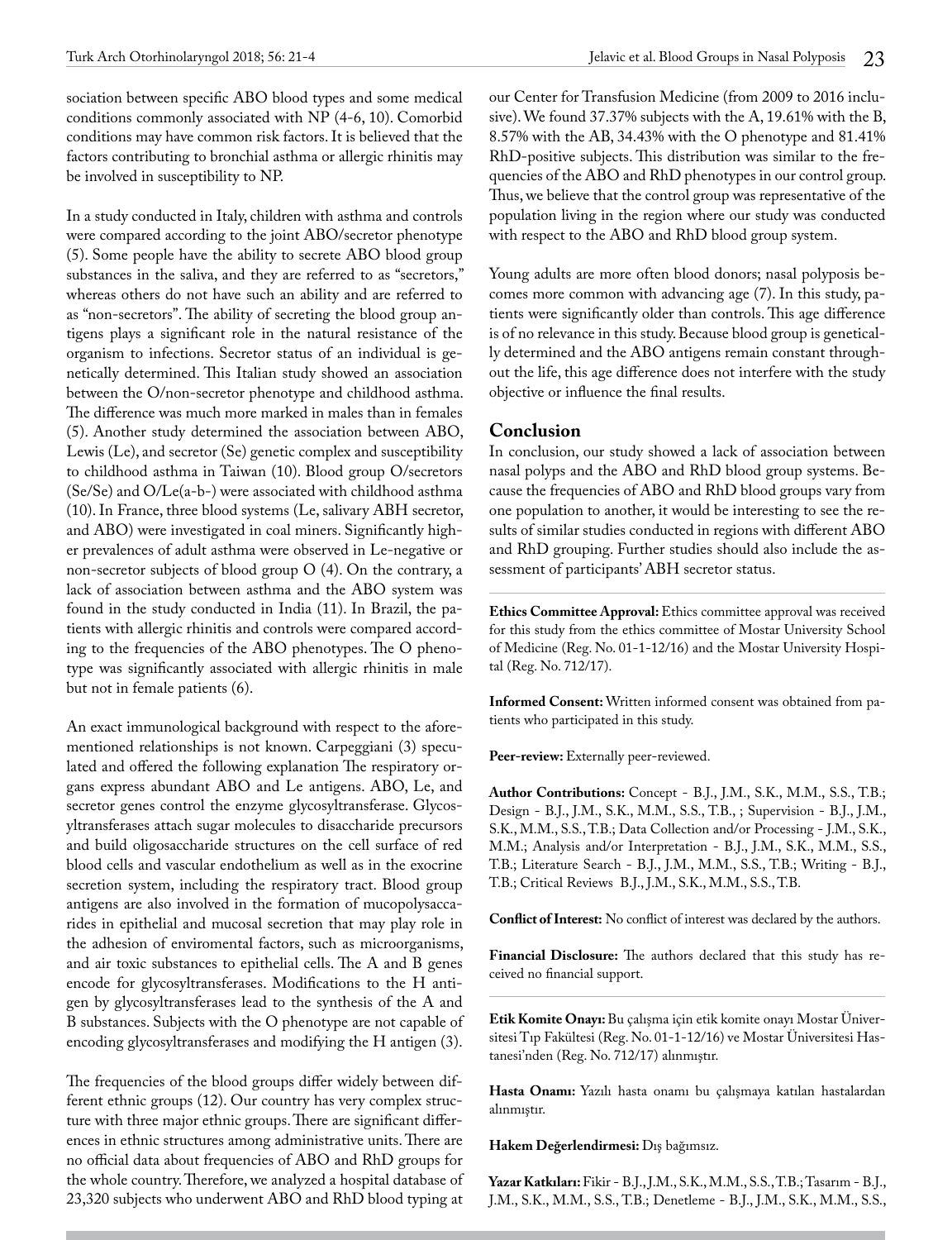sociation between specific ABO blood types and some medical conditions commonly associated with NP (4-6, 10). Comorbid conditions may have common risk factors. It is believed that the factors contributing to bronchial asthma or allergic rhinitis may be involved in susceptibility to NP.

In a study conducted in Italy, children with asthma and controls were compared according to the joint ABO/secretor phenotype (5). Some people have the ability to secrete ABO blood group substances in the saliva, and they are referred to as "secretors," whereas others do not have such an ability and are referred to as "non-secretors". The ability of secreting the blood group antigens plays a significant role in the natural resistance of the organism to infections. Secretor status of an individual is genetically determined. This Italian study showed an association between the O/non-secretor phenotype and childhood asthma. The difference was much more marked in males than in females (5). Another study determined the association between ABO, Lewis (Le), and secretor (Se) genetic complex and susceptibility to childhood asthma in Taiwan (10). Blood group O/secretors (Se/Se) and O/Le(a-b-) were associated with childhood asthma (10). In France, three blood systems (Le, salivary ABH secretor, and ABO) were investigated in coal miners. Significantly higher prevalences of adult asthma were observed in Le-negative or non-secretor subjects of blood group O (4). On the contrary, a lack of association between asthma and the ABO system was found in the study conducted in India (11). In Brazil, the patients with allergic rhinitis and controls were compared according to the frequencies of the ABO phenotypes. The O phenotype was significantly associated with allergic rhinitis in male but not in female patients (6).

An exact immunological background with respect to the aforementioned relationships is not known. Carpeggiani (3) speculated and offered the following explanation The respiratory organs express abundant ABO and Le antigens. ABO, Le, and secretor genes control the enzyme glycosyltransferase. Glycosyltransferases attach sugar molecules to disaccharide precursors and build oligosaccharide structures on the cell surface of red blood cells and vascular endothelium as well as in the exocrine secretion system, including the respiratory tract. Blood group antigens are also involved in the formation of mucopolysaccarides in epithelial and mucosal secretion that may play role in the adhesion of enviromental factors, such as microorganisms, and air toxic substances to epithelial cells. The A and B genes encode for glycosyltransferases. Modifications to the H antigen by glycosyltransferases lead to the synthesis of the A and B substances. Subjects with the O phenotype are not capable of encoding glycosyltransferases and modifying the H antigen (3).

The frequencies of the blood groups differ widely between different ethnic groups (12). Our country has very complex structure with three major ethnic groups. There are significant differences in ethnic structures among administrative units. There are no official data about frequencies of ABO and RhD groups for the whole country. Therefore, we analyzed a hospital database of 23,320 subjects who underwent ABO and RhD blood typing at

our Center for Transfusion Medicine (from 2009 to 2016 inclusive). We found 37.37% subjects with the A, 19.61% with the B, 8.57% with the AB, 34.43% with the O phenotype and 81.41% RhD-positive subjects. This distribution was similar to the frequencies of the ABO and RhD phenotypes in our control group. Thus, we believe that the control group was representative of the population living in the region where our study was conducted with respect to the ABO and RhD blood group system.

Young adults are more often blood donors; nasal polyposis becomes more common with advancing age (7). In this study, patients were significantly older than controls. This age difference is of no relevance in this study. Because blood group is genetically determined and the ABO antigens remain constant throughout the life, this age difference does not interfere with the study objective or influence the final results.

### **Conclusion**

In conclusion, our study showed a lack of association between nasal polyps and the ABO and RhD blood group systems. Because the frequencies of ABO and RhD blood groups vary from one population to another, it would be interesting to see the results of similar studies conducted in regions with different ABO and RhD grouping. Further studies should also include the assessment of participants' ABH secretor status.

**Ethics Committee Approval:** Ethics committee approval was received for this study from the ethics committee of Mostar University School of Medicine (Reg. No. 01-1-12/16) and the Mostar University Hospital (Reg. No. 712/17).

**Informed Consent:** Written informed consent was obtained from patients who participated in this study.

Peer-review: Externally peer-reviewed.

**Author Contributions:** Concept - B.J., J.M., S.K., M.M., S.S., T.B.; Design - B.J., J.M., S.K., M.M., S.S., T.B., ; Supervision - B.J., J.M., S.K., M.M., S.S., T.B.; Data Collection and/or Processing - J.M., S.K., M.M.; Analysis and/or Interpretation - B.J., J.M., S.K., M.M., S.S., T.B.; Literature Search - B.J., J.M., M.M., S.S., T.B.; Writing - B.J., T.B.; Critical Reviews B.J., J.M., S.K., M.M., S.S., T.B.

**Conflict of Interest:** No conflict of interest was declared by the authors.

**Financial Disclosure:** The authors declared that this study has received no financial support.

**Etik Komite Onayı:** Bu çalışma için etik komite onayı Mostar Üniversitesi Tıp Fakültesi (Reg. No. 01-1-12/16) ve Mostar Üniversitesi Hastanesi'nden (Reg. No. 712/17) alınmıştır.

**Hasta Onamı:** Yazılı hasta onamı bu çalışmaya katılan hastalardan alınmıştır.

**Hakem Değerlendirmesi:** Dış bağımsız.

**Yazar Katkıları:** Fikir - B.J., J.M., S.K., M.M., S.S., T.B.; Tasarım - B.J., J.M., S.K., M.M., S.S., T.B.; Denetleme - B.J., J.M., S.K., M.M., S.S.,